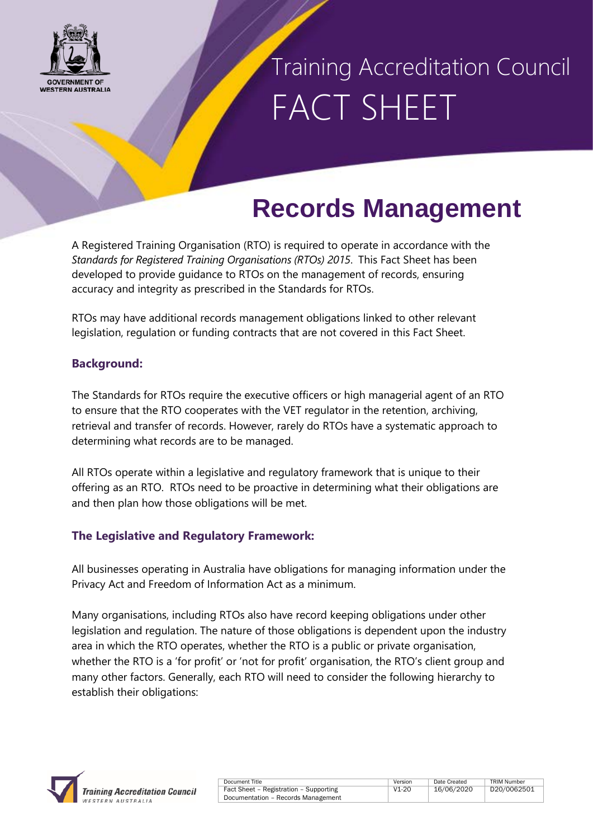

### Training Accreditation Council FACT SHEET

### **Records Management**

A Registered Training Organisation (RTO) is required to operate in accordance with the *Standards for Registered Training Organisations (RTOs) 2015*. This Fact Sheet has been developed to provide guidance to RTOs on the management of records, ensuring accuracy and integrity as prescribed in the Standards for RTOs.

RTOs may have additional records management obligations linked to other relevant legislation, regulation or funding contracts that are not covered in this Fact Sheet.

#### **Background:**

The Standards for RTOs require the executive officers or high managerial agent of an RTO to ensure that the RTO cooperates with the VET regulator in the retention, archiving, retrieval and transfer of records. However, rarely do RTOs have a systematic approach to determining what records are to be managed.

All RTOs operate within a legislative and regulatory framework that is unique to their offering as an RTO. RTOs need to be proactive in determining what their obligations are and then plan how those obligations will be met.

### **The Legislative and Regulatory Framework:**

All businesses operating in Australia have obligations for managing information under the Privacy Act and Freedom of Information Act as a minimum.

Many organisations, including RTOs also have record keeping obligations under other legislation and regulation. The nature of those obligations is dependent upon the industry area in which the RTO operates, whether the RTO is a public or private organisation, whether the RTO is a 'for profit' or 'not for profit' organisation, the RTO's client group and many other factors. Generally, each RTO will need to consider the following hierarchy to establish their obligations:



| <b>Document litie</b>                  |  |
|----------------------------------------|--|
| Fact Sheet - Registration - Supporting |  |
| Documentation - Records Management     |  |

Document Title **Version** | Date Created | TRIM Number V1-20 16/06/2020 D20/0062501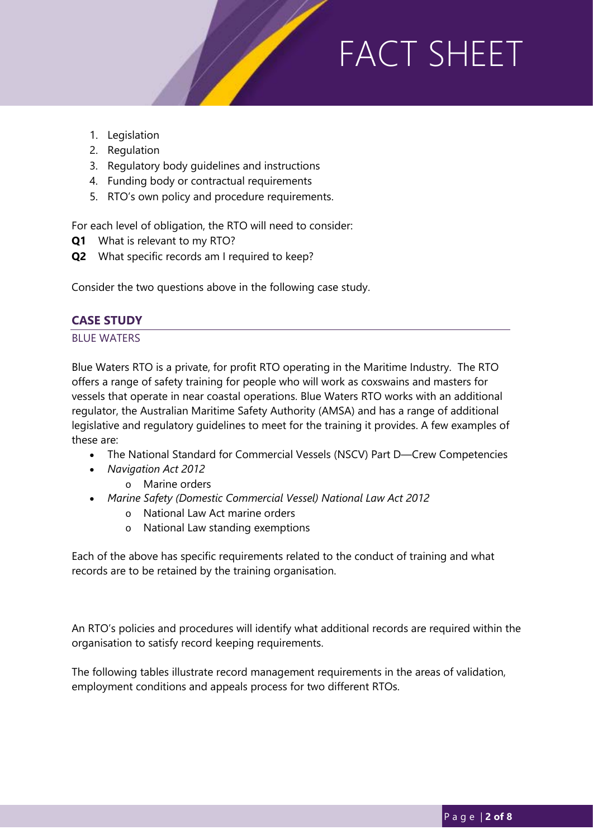- 1. Legislation
- 2. Regulation
- 3. Regulatory body guidelines and instructions
- 4. Funding body or contractual requirements
- 5. RTO's own policy and procedure requirements.

For each level of obligation, the RTO will need to consider:

- **Q1** What is relevant to my RTO?
- **Q2** What specific records am I required to keep?

Consider the two questions above in the following case study.

#### **CASE STUDY**

#### BLUE WATERS

Blue Waters RTO is a private, for profit RTO operating in the Maritime Industry. The RTO offers a range of safety training for people who will work as coxswains and masters for vessels that operate in near coastal operations. Blue Waters RTO works with an additional regulator, the Australian Maritime Safety Authority (AMSA) and has a range of additional legislative and regulatory guidelines to meet for the training it provides. A few examples of these are:

- The [National Standard for Commercial Vessels \(NSCV\) Part D—Crew Competencies](https://www.amsa.gov.au/about/regulations-and-standards/national-standard-commercial-vessels-nscv)
- *[Navigation Act 2012](http://www.comlaw.gov.au/Series/C2012A00128)*
	- o [Marine orders](https://www.amsa.gov.au/about/regulations-and-standards/index-marine-orders)
- *[Marine Safety \(Domestic Commercial Vessel\) National Law Act 2012](http://www.comlaw.gov.au/Series/C2012A00121)*
	- o [National Law Act marine orders](https://www.amsa.gov.au/about/regulations-and-standards/national-law-act-marine-orders)
	- o [National Law standing exemptions](https://www.amsa.gov.au/about/regulations-and-standards/national-law-act-exemptions-marine-orders)

Each of the above has specific requirements related to the conduct of training and what records are to be retained by the training organisation.

An RTO's policies and procedures will identify what additional records are required within the organisation to satisfy record keeping requirements.

The following tables illustrate record management requirements in the areas of validation, employment conditions and appeals process for two different RTOs.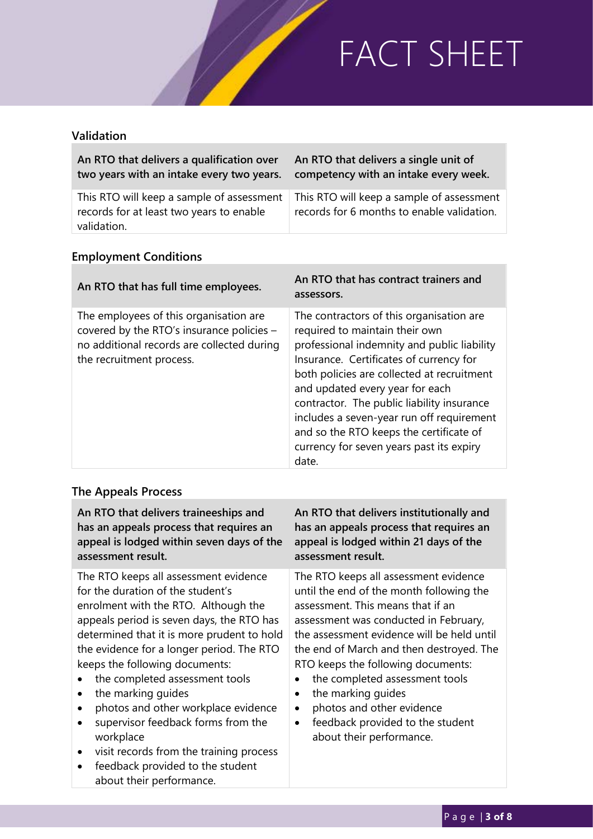### **Validation**

| An RTO that delivers a qualification over                                                            | An RTO that delivers a single unit of                                                   |
|------------------------------------------------------------------------------------------------------|-----------------------------------------------------------------------------------------|
| two years with an intake every two years.                                                            | competency with an intake every week.                                                   |
| This RTO will keep a sample of assessment<br>records for at least two years to enable<br>validation. | This RTO will keep a sample of assessment<br>records for 6 months to enable validation. |

### **Employment Conditions**

| An RTO that has full time employees.                                                                                                                          | An RTO that has contract trainers and<br>assessors.                                                                                                                                                                                                                                                                                                                                                                                              |
|---------------------------------------------------------------------------------------------------------------------------------------------------------------|--------------------------------------------------------------------------------------------------------------------------------------------------------------------------------------------------------------------------------------------------------------------------------------------------------------------------------------------------------------------------------------------------------------------------------------------------|
| The employees of this organisation are<br>covered by the RTO's insurance policies -<br>no additional records are collected during<br>the recruitment process. | The contractors of this organisation are<br>required to maintain their own<br>professional indemnity and public liability<br>Insurance. Certificates of currency for<br>both policies are collected at recruitment<br>and updated every year for each<br>contractor. The public liability insurance<br>includes a seven-year run off requirement<br>and so the RTO keeps the certificate of<br>currency for seven years past its expiry<br>date. |

### **The Appeals Process**

about their performance.

| An RTO that delivers traineeships and                                                                                                                                                                                                                                                                                                                                                                                                                                                                                         | An RTO that delivers institutionally and                                                                                                                                                                                                                                                                                                                                                                                                                                                    |
|-------------------------------------------------------------------------------------------------------------------------------------------------------------------------------------------------------------------------------------------------------------------------------------------------------------------------------------------------------------------------------------------------------------------------------------------------------------------------------------------------------------------------------|---------------------------------------------------------------------------------------------------------------------------------------------------------------------------------------------------------------------------------------------------------------------------------------------------------------------------------------------------------------------------------------------------------------------------------------------------------------------------------------------|
| has an appeals process that requires an                                                                                                                                                                                                                                                                                                                                                                                                                                                                                       | has an appeals process that requires an                                                                                                                                                                                                                                                                                                                                                                                                                                                     |
| appeal is lodged within seven days of the                                                                                                                                                                                                                                                                                                                                                                                                                                                                                     | appeal is lodged within 21 days of the                                                                                                                                                                                                                                                                                                                                                                                                                                                      |
| assessment result.                                                                                                                                                                                                                                                                                                                                                                                                                                                                                                            | assessment result.                                                                                                                                                                                                                                                                                                                                                                                                                                                                          |
| The RTO keeps all assessment evidence<br>for the duration of the student's<br>enrolment with the RTO. Although the<br>appeals period is seven days, the RTO has<br>determined that it is more prudent to hold<br>the evidence for a longer period. The RTO<br>keeps the following documents:<br>the completed assessment tools<br>the marking guides<br>photos and other workplace evidence<br>supervisor feedback forms from the<br>workplace<br>visit records from the training process<br>feedback provided to the student | The RTO keeps all assessment evidence<br>until the end of the month following the<br>assessment. This means that if an<br>assessment was conducted in February,<br>the assessment evidence will be held until<br>the end of March and then destroyed. The<br>RTO keeps the following documents:<br>the completed assessment tools<br>the marking guides<br>$\bullet$<br>photos and other evidence<br>$\bullet$<br>feedback provided to the student<br>$\bullet$<br>about their performance. |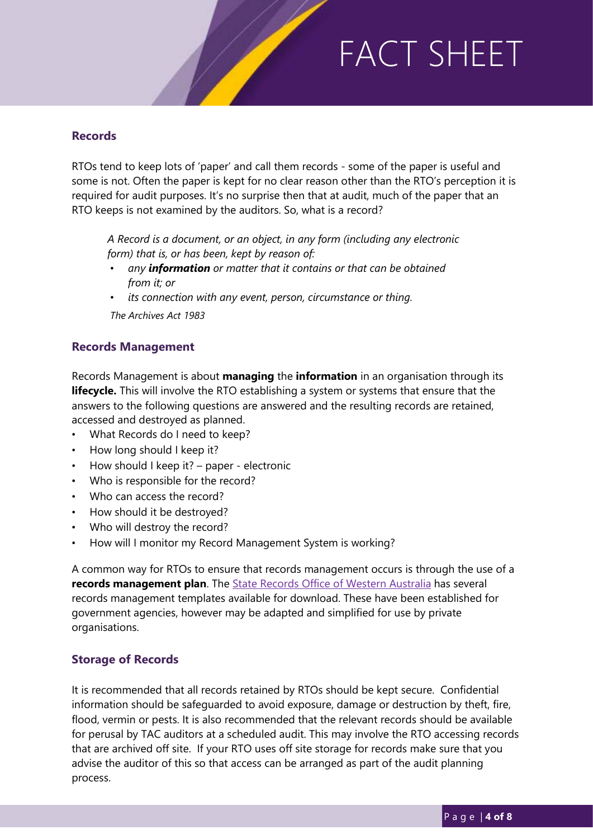#### **Records**

RTOs tend to keep lots of 'paper' and call them records - some of the paper is useful and some is not. Often the paper is kept for no clear reason other than the RTO's perception it is required for audit purposes. It's no surprise then that at audit, much of the paper that an RTO keeps is not examined by the auditors. So, what is a record?

*A Record is a document, or an object, in any form (including any electronic form) that is, or has been, kept by reason of:*

- *any information or matter that it contains or that can be obtained from it; or*
- *its connection with any event, person, circumstance or thing. The Archives Act 1983*

#### **Records Management**

Records Management is about **managing** the **information** in an organisation through its **lifecycle.** This will involve the RTO establishing a system or systems that ensure that the answers to the following questions are answered and the resulting records are retained, accessed and destroyed as planned.

- What Records do I need to keep?
- How long should I keep it?
- How should I keep it? paper electronic
- Who is responsible for the record?
- Who can access the record?
- How should it be destroyed?
- Who will destroy the record?
- How will I monitor my Record Management System is working?

A common way for RTOs to ensure that records management occurs is through the use of a **records management plan**. The [State Records Office of Western Australia](https://www.sro.wa.gov.au/) has several records management templates available for download. These have been established for government agencies, however may be adapted and simplified for use by private organisations.

#### **Storage of Records**

It is recommended that all records retained by RTOs should be kept secure. Confidential information should be safeguarded to avoid exposure, damage or destruction by theft, fire, flood, vermin or pests. It is also recommended that the relevant records should be available for perusal by TAC auditors at a scheduled audit. This may involve the RTO accessing records that are archived off site. If your RTO uses off site storage for records make sure that you advise the auditor of this so that access can be arranged as part of the audit planning process.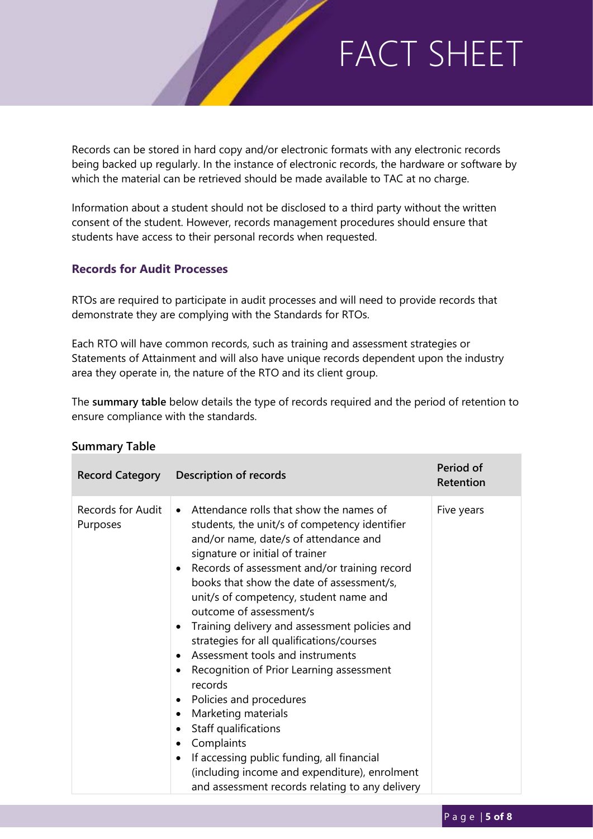Records can be stored in hard copy and/or electronic formats with any electronic records being backed up regularly. In the instance of electronic records, the hardware or software by which the material can be retrieved should be made available to TAC at no charge.

Information about a student should not be disclosed to a third party without the written consent of the student. However, records management procedures should ensure that students have access to their personal records when requested.

#### **Records for Audit Processes**

RTOs are required to participate in audit processes and will need to provide records that demonstrate they are complying with the Standards for RTOs.

Each RTO will have common records, such as training and assessment strategies or Statements of Attainment and will also have unique records dependent upon the industry area they operate in, the nature of the RTO and its client group.

The **summary table** below details the type of records required and the period of retention to ensure compliance with the standards.

|                               | Record Category Description of records                                                                                                                                                                                                                                                                                                                                                                                                                                                                                                                                                                                                                                                                                                                                                                                                                                                                      | Period of<br>Retention |
|-------------------------------|-------------------------------------------------------------------------------------------------------------------------------------------------------------------------------------------------------------------------------------------------------------------------------------------------------------------------------------------------------------------------------------------------------------------------------------------------------------------------------------------------------------------------------------------------------------------------------------------------------------------------------------------------------------------------------------------------------------------------------------------------------------------------------------------------------------------------------------------------------------------------------------------------------------|------------------------|
| Records for Audit<br>Purposes | Attendance rolls that show the names of<br>$\bullet$<br>students, the unit/s of competency identifier<br>and/or name, date/s of attendance and<br>signature or initial of trainer<br>Records of assessment and/or training record<br>$\bullet$<br>books that show the date of assessment/s,<br>unit/s of competency, student name and<br>outcome of assessment/s<br>Training delivery and assessment policies and<br>$\bullet$<br>strategies for all qualifications/courses<br>Assessment tools and instruments<br>$\bullet$<br>Recognition of Prior Learning assessment<br>$\bullet$<br>records<br>Policies and procedures<br>$\bullet$<br>Marketing materials<br>$\bullet$<br>Staff qualifications<br>$\bullet$<br>Complaints<br>$\bullet$<br>If accessing public funding, all financial<br>$\bullet$<br>(including income and expenditure), enrolment<br>and assessment records relating to any delivery | Five years             |

#### **Summary Table**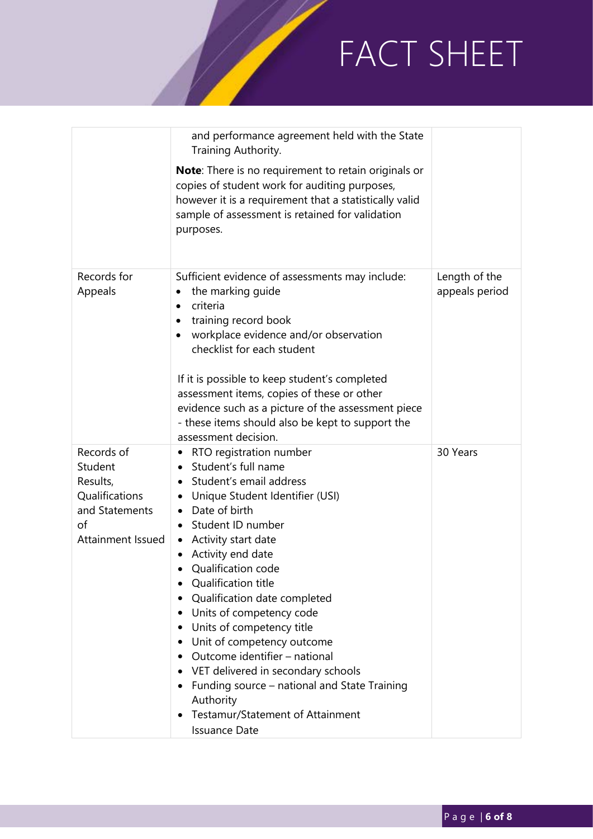|                                                                                                  | and performance agreement held with the State<br>Training Authority.<br><b>Note:</b> There is no requirement to retain originals or<br>copies of student work for auditing purposes,<br>however it is a requirement that a statistically valid<br>sample of assessment is retained for validation<br>purposes.                                                                                                                                                                                                                                                                                                                                                                    |                                 |
|--------------------------------------------------------------------------------------------------|-----------------------------------------------------------------------------------------------------------------------------------------------------------------------------------------------------------------------------------------------------------------------------------------------------------------------------------------------------------------------------------------------------------------------------------------------------------------------------------------------------------------------------------------------------------------------------------------------------------------------------------------------------------------------------------|---------------------------------|
| Records for<br>Appeals                                                                           | Sufficient evidence of assessments may include:<br>the marking guide<br>criteria<br>$\bullet$<br>training record book<br>workplace evidence and/or observation<br>checklist for each student<br>If it is possible to keep student's completed<br>assessment items, copies of these or other<br>evidence such as a picture of the assessment piece<br>- these items should also be kept to support the<br>assessment decision.                                                                                                                                                                                                                                                     | Length of the<br>appeals period |
| Records of<br>Student<br>Results,<br>Qualifications<br>and Statements<br>of<br>Attainment Issued | RTO registration number<br>٠<br>Student's full name<br>Student's email address<br>$\bullet$<br>Unique Student Identifier (USI)<br>$\bullet$<br>Date of birth<br>$\bullet$<br>Student ID number<br>Activity start date<br>$\bullet$<br>Activity end date<br>$\bullet$<br>Qualification code<br>Qualification title<br>Qualification date completed<br>Units of competency code<br>$\bullet$<br>Units of competency title<br>Unit of competency outcome<br>$\bullet$<br>Outcome identifier - national<br>$\bullet$<br>• VET delivered in secondary schools<br>Funding source – national and State Training<br>Authority<br>Testamur/Statement of Attainment<br><b>Issuance Date</b> | 30 Years                        |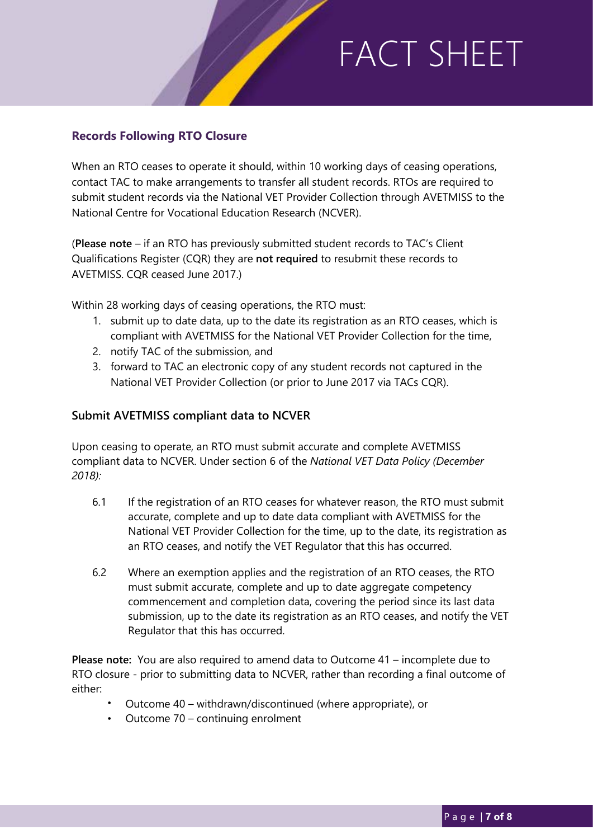### **Records Following RTO Closure**

When an RTO ceases to operate it should, within 10 working days of ceasing operations, contact TAC to make arrangements to transfer all student records. RTOs are required to submit student records via the National VET Provider Collection through AVETMISS to the National Centre for Vocational Education Research (NCVER).

(**Please note** – if an RTO has previously submitted student records to TAC's Client Qualifications Register (CQR) they are **not required** to resubmit these records to AVETMISS. CQR ceased June 2017.)

Within 28 working days of ceasing operations, the RTO must:

- 1. submit up to date data, up to the date its registration as an RTO ceases, which is compliant with AVETMISS for the National VET Provider Collection for the time,
- 2. notify TAC of the submission, and
- 3. forward to TAC an electronic copy of any student records not captured in the National VET Provider Collection (or prior to June 2017 via TACs CQR).

#### **Submit AVETMISS compliant data to NCVER**

Upon ceasing to operate, an RTO must submit accurate and complete AVETMISS compliant data to NCVER. Under section 6 of the *National VET Data Policy (December 2018):*

- 6.1 If the registration of an RTO ceases for whatever reason, the RTO must submit accurate, complete and up to date data compliant with AVETMISS for the National VET Provider Collection for the time, up to the date, its registration as an RTO ceases, and notify the VET Regulator that this has occurred.
- 6.2 Where an exemption applies and the registration of an RTO ceases, the RTO must submit accurate, complete and up to date aggregate competency commencement and completion data, covering the period since its last data submission, up to the date its registration as an RTO ceases, and notify the VET Regulator that this has occurred.

**Please note:** You are also required to amend data to Outcome 41 – incomplete due to RTO closure - prior to submitting data to NCVER, rather than recording a final outcome of either:

- Outcome 40 withdrawn/discontinued (where appropriate), or
- Outcome 70 continuing enrolment